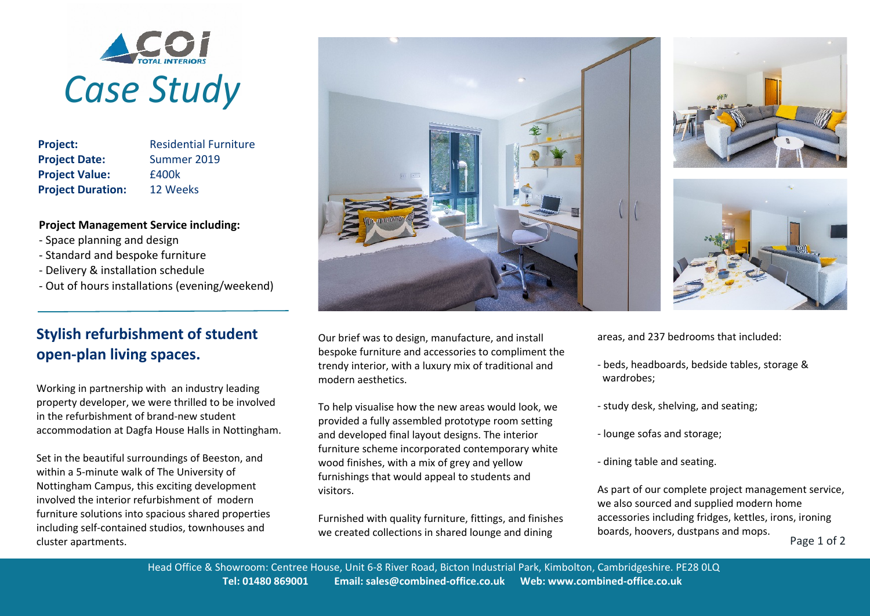

**Project:** Residential Furniture **Project Date:** Summer 2019 **Project Value:** £400k **Project Duration:** 12 Weeks

## **Project Management Service including:**

- Space planning and design
- Standard and bespoke furniture
- Delivery & installation schedule
- Out of hours installations (evening/weekend)

## **Stylish refurbishment of student open-plan living spaces.**

Working in partnership with an industry leading property developer, we were thrilled to be involved in the refurbishment of brand-new student accommodation at Dagfa House Halls in Nottingham.

Set in the beautiful surroundings of Beeston, and within a 5-minute walk of The University of Nottingham Campus, this exciting development involved the interior refurbishment of modern furniture solutions into spacious shared properties including self-contained studios, townhouses and cluster apartments.



To help visualise how the new areas would look, we provided a fully assembled prototype room setting and developed final layout designs. The interior furniture scheme incorporated contemporary white wood finishes, with a mix of grey and yellow furnishings that would appeal to students and visitors.

Furnished with quality furniture, fittings, and finishes





areas, and 237 bedrooms that included:

- beds, headboards, bedside tables, storage & wardrobes;
- study desk, shelving, and seating;
- lounge sofas and storage;
- dining table and seating.

we created collections in shared lounge and dining boards, hoovers, dustpans and mops.<br>Page 1 of 2 As part of our complete project management service, we also sourced and supplied modern home accessories including fridges, kettles, irons, ironing boards, hoovers, dustpans and mops.